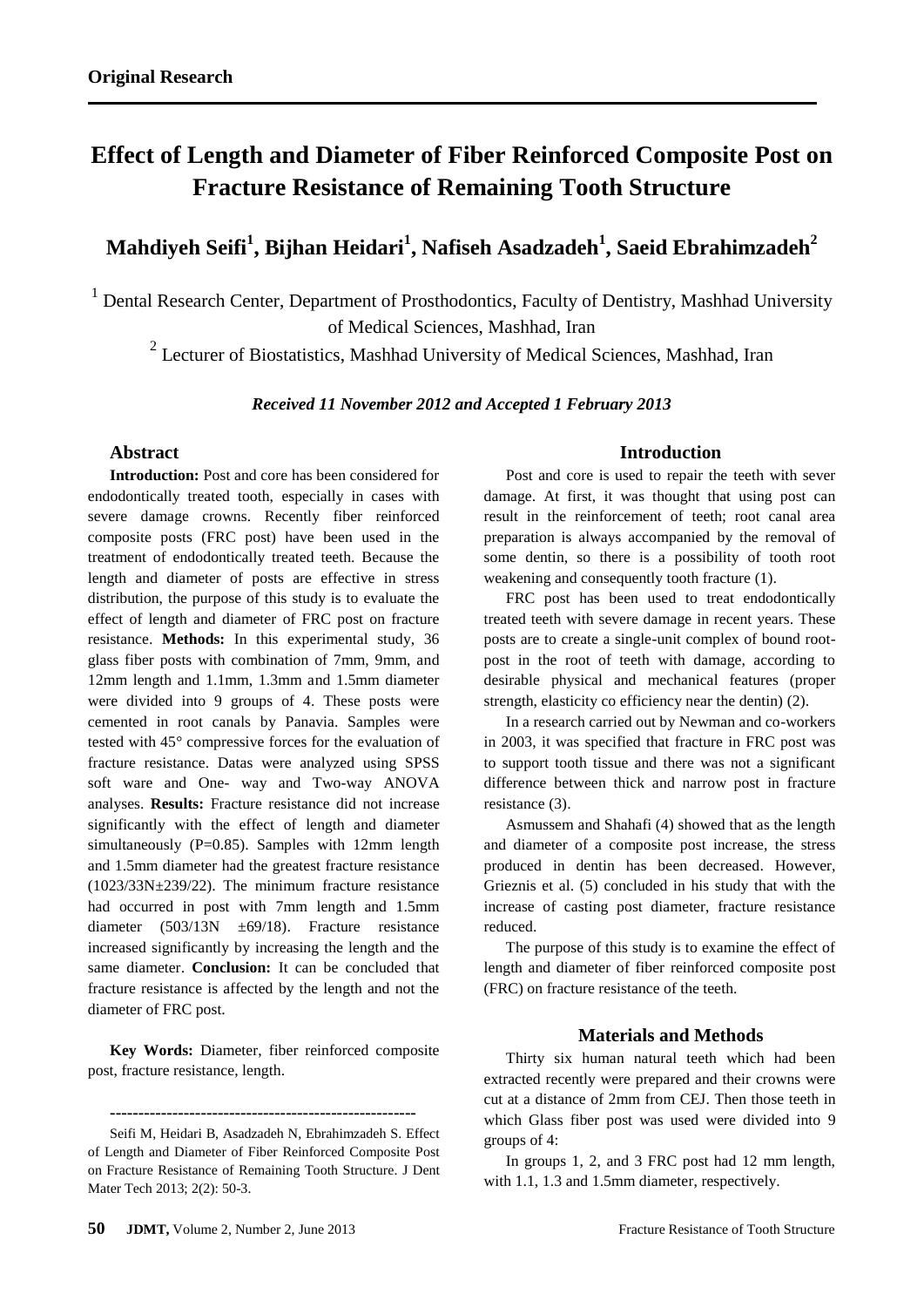# **Effect of Length and Diameter of Fiber Reinforced Composite Post on Fracture Resistance of Remaining Tooth Structure**

## **Mahdiyeh Seifi<sup>1</sup> , Bijhan Heidari<sup>1</sup> , Nafiseh Asadzadeh<sup>1</sup> , Saeid Ebrahimzadeh<sup>2</sup>**

<sup>1</sup> Dental Research Center, Department of Prosthodontics, Faculty of Dentistry, Mashhad University of Medical Sciences, Mashhad, Iran

<sup>2</sup> Lecturer of Biostatistics, Mashhad University of Medical Sciences, Mashhad, Iran

#### *Received 11 November 2012 and Accepted 1 February 2013*

### **Abstract**

**Introduction:** Post and core has been considered for endodontically treated tooth, especially in cases with severe damage crowns. Recently fiber reinforced composite posts (FRC post) have been used in the treatment of endodontically treated teeth. Because the length and diameter of posts are effective in stress distribution, the purpose of this study is to evaluate the effect of length and diameter of FRC post on fracture resistance. **Methods:** In this experimental study, 36 glass fiber posts with combination of 7mm, 9mm, and 12mm length and 1.1mm, 1.3mm and 1.5mm diameter were divided into 9 groups of 4. These posts were cemented in root canals by Panavia. Samples were tested with 45° compressive forces for the evaluation of fracture resistance. Datas were analyzed using SPSS soft ware and One- way and Two-way ANOVA analyses. **Results:** Fracture resistance did not increase significantly with the effect of length and diameter simultaneously  $(P=0.85)$ . Samples with 12mm length and 1.5mm diameter had the greatest fracture resistance (1023/33N±239/22). The minimum fracture resistance had occurred in post with 7mm length and 1.5mm diameter (503/13N ±69/18). Fracture resistance increased significantly by increasing the length and the same diameter. **Conclusion:** It can be concluded that fracture resistance is affected by the length and not the diameter of FRC post.

**Key Words:** Diameter, fiber reinforced composite post, fracture resistance, length.

#### **Introduction**

Post and core is used to repair the teeth with sever damage. At first, it was thought that using post can result in the reinforcement of teeth; root canal area preparation is always accompanied by the removal of some dentin, so there is a possibility of tooth root weakening and consequently tooth fracture (1).

FRC post has been used to treat endodontically treated teeth with severe damage in recent years. These posts are to create a single-unit complex of bound rootpost in the root of teeth with damage, according to desirable physical and mechanical features (proper strength, elasticity co efficiency near the dentin) (2).

In a research carried out by Newman and co-workers in 2003, it was specified that fracture in FRC post was to support tooth tissue and there was not a significant difference between thick and narrow post in fracture resistance (3).

Asmussem and Shahafi (4) showed that as the length and diameter of a composite post increase, the stress produced in dentin has been decreased. However, Grieznis et al. (5) concluded in his study that with the increase of casting post diameter, fracture resistance reduced.

The purpose of this study is to examine the effect of length and diameter of fiber reinforced composite post (FRC) on fracture resistance of the teeth.

#### **Materials and Methods**

Thirty six human natural teeth which had been extracted recently were prepared and their crowns were cut at a distance of 2mm from CEJ. Then those teeth in which Glass fiber post was used were divided into 9 groups of 4:

In groups 1, 2, and 3 FRC post had 12 mm length, with 1.1, 1.3 and 1.5mm diameter, respectively.

**<sup>------------------------------------------------------</sup>**

Seifi M, Heidari B, Asadzadeh N, Ebrahimzadeh S. Effect of Length and Diameter of Fiber Reinforced Composite Post on Fracture Resistance of Remaining Tooth Structure. J Dent Mater Tech 2013; 2(2): 50-3.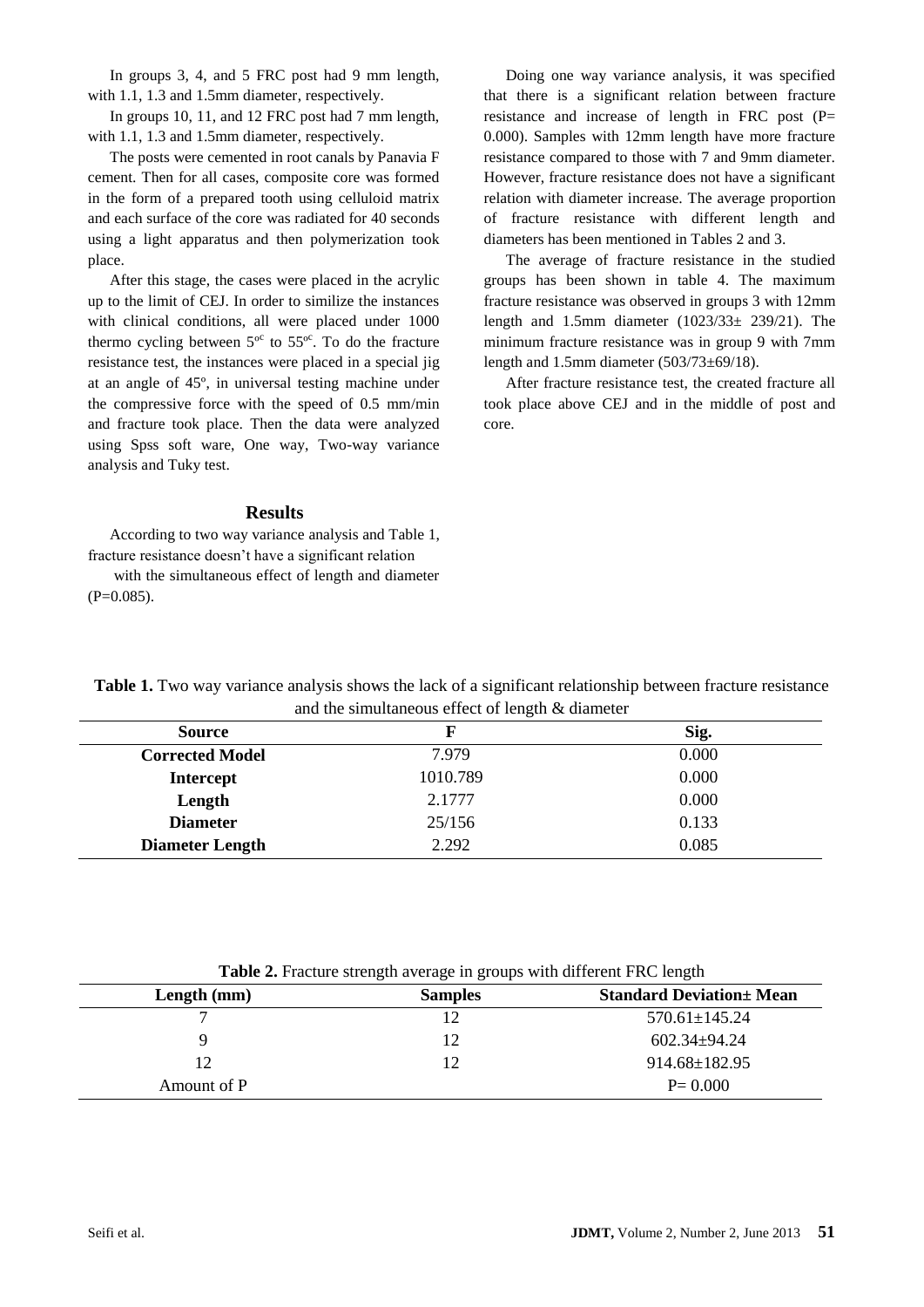In groups 3, 4, and 5 FRC post had 9 mm length, with 1.1, 1.3 and 1.5mm diameter, respectively.

In groups 10, 11, and 12 FRC post had 7 mm length, with 1.1, 1.3 and 1.5mm diameter, respectively.

The posts were cemented in root canals by Panavia F cement. Then for all cases, composite core was formed in the form of a prepared tooth using celluloid matrix and each surface of the core was radiated for 40 seconds using a light apparatus and then polymerization took place.

After this stage, the cases were placed in the acrylic up to the limit of CEJ. In order to similize the instances with clinical conditions, all were placed under 1000 thermo cycling between  $5^{\circ}$  to  $55^{\circ}$ . To do the fracture resistance test, the instances were placed in a special jig at an angle of 45º, in universal testing machine under the compressive force with the speed of 0.5 mm/min and fracture took place. Then the data were analyzed using Spss soft ware, One way, Two-way variance analysis and Tuky test.

#### **Results**

According to two way variance analysis and Table 1, fracture resistance doesn't have a significant relation

with the simultaneous effect of length and diameter  $(P=0.085)$ .

Doing one way variance analysis, it was specified that there is a significant relation between fracture resistance and increase of length in FRC post (P= 0.000). Samples with 12mm length have more fracture resistance compared to those with 7 and 9mm diameter. However, fracture resistance does not have a significant relation with diameter increase. The average proportion of fracture resistance with different length and diameters has been mentioned in Tables 2 and 3.

The average of fracture resistance in the studied groups has been shown in table 4. The maximum fracture resistance was observed in groups 3 with 12mm length and 1.5mm diameter (1023/33± 239/21). The minimum fracture resistance was in group 9 with 7mm length and 1.5mm diameter (503/73±69/18).

After fracture resistance test, the created fracture all took place above CEJ and in the middle of post and core.

**Table 1.** Two way variance analysis shows the lack of a significant relationship between fracture resistance and the simultaneous effect of length & diameter

| <b>Source</b>          |          | Sig.  |
|------------------------|----------|-------|
| <b>Corrected Model</b> | 7.979    | 0.000 |
| <b>Intercept</b>       | 1010.789 | 0.000 |
| Length                 | 2.1777   | 0.000 |
| <b>Diameter</b>        | 25/156   | 0.133 |
| <b>Diameter Length</b> | 2.292    | 0.085 |

| Table 2. Fracture strength average in groups with different FRC length |  |
|------------------------------------------------------------------------|--|
|                                                                        |  |

| Length $(mm)$ | <b>Samples</b> | <b>Standard Deviation</b> + Mean |
|---------------|----------------|----------------------------------|
|               |                | 570.61±145.24                    |
| Q             | 12             | $602.34 \pm 94.24$               |
| 12            | 12             | 914.68±182.95                    |
| Amount of P   |                | $P = 0.000$                      |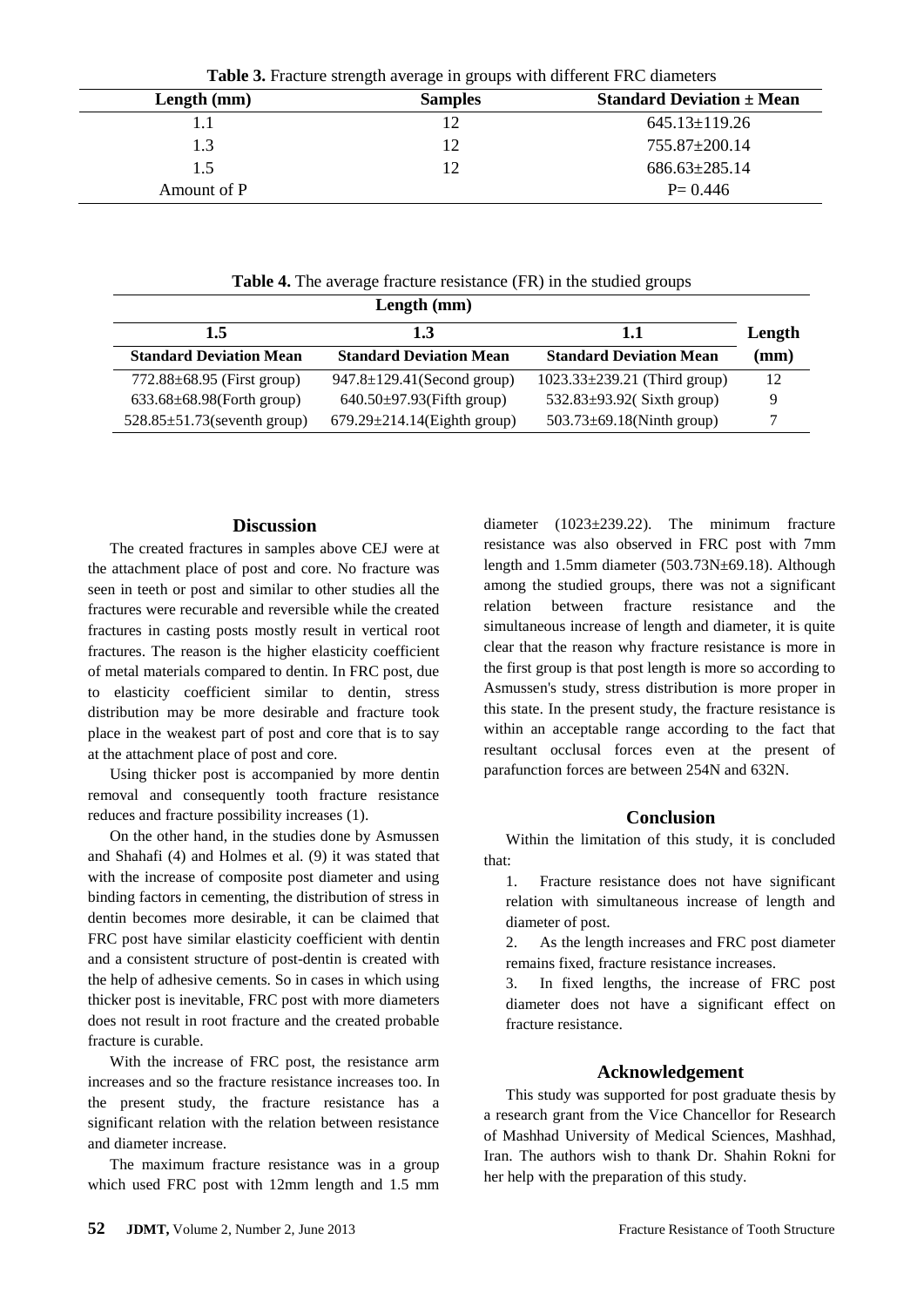| <b>Table 5.</b> Placture strength average in groups with unferent PINC diameters |                |                                                 |
|----------------------------------------------------------------------------------|----------------|-------------------------------------------------|
| Length $(mm)$                                                                    | <b>Samples</b> | <b>Standard Deviation <math>\pm</math> Mean</b> |
|                                                                                  |                | $645.13 \pm 119.26$                             |
| 1.3                                                                              |                | 755.87±200.14                                   |
| 1.5                                                                              |                | $686.63 \pm 285.14$                             |
| Amount of P                                                                      |                | $P = 0.446$                                     |

**Table 3.** Fracture strength average in groups with different FRC diameters

**Table 4.** The average fracture resistance (FR) in the studied groups

| Length (mm)                        |                                    |                                    |                 |
|------------------------------------|------------------------------------|------------------------------------|-----------------|
| 1.5                                | 1.3                                | 1.1                                | Length          |
| <b>Standard Deviation Mean</b>     | <b>Standard Deviation Mean</b>     | <b>Standard Deviation Mean</b>     | $(\mathbf{mm})$ |
| $772.88 \pm 68.95$ (First group)   | $947.8 \pm 129.41$ (Second group)  | $1023.33 \pm 239.21$ (Third group) | 12              |
| $633.68 \pm 68.98$ (Forth group)   | $640.50 \pm 97.93$ (Fifth group)   | 532.83 $\pm$ 93.92(Sixth group)    | Q               |
| $528.85 \pm 51.73$ (seventh group) | $679.29 \pm 214.14$ (Eighth group) | $503.73 \pm 69.18$ (Ninth group)   |                 |

### **Discussion**

The created fractures in samples above CEJ were at the attachment place of post and core. No fracture was seen in teeth or post and similar to other studies all the fractures were recurable and reversible while the created fractures in casting posts mostly result in vertical root fractures. The reason is the higher elasticity coefficient of metal materials compared to dentin. In FRC post, due to elasticity coefficient similar to dentin, stress distribution may be more desirable and fracture took place in the weakest part of post and core that is to say at the attachment place of post and core.

Using thicker post is accompanied by more dentin removal and consequently tooth fracture resistance reduces and fracture possibility increases (1).

On the other hand, in the studies done by Asmussen and Shahafi (4) and Holmes et al. (9) it was stated that with the increase of composite post diameter and using binding factors in cementing, the distribution of stress in dentin becomes more desirable, it can be claimed that FRC post have similar elasticity coefficient with dentin and a consistent structure of post-dentin is created with the help of adhesive cements. So in cases in which using thicker post is inevitable, FRC post with more diameters does not result in root fracture and the created probable fracture is curable.

With the increase of FRC post, the resistance arm increases and so the fracture resistance increases too. In the present study, the fracture resistance has a significant relation with the relation between resistance and diameter increase.

The maximum fracture resistance was in a group which used FRC post with 12mm length and 1.5 mm diameter (1023±239.22). The minimum fracture resistance was also observed in FRC post with 7mm length and 1.5mm diameter (503.73N±69.18). Although among the studied groups, there was not a significant relation between fracture resistance and the simultaneous increase of length and diameter, it is quite clear that the reason why fracture resistance is more in the first group is that post length is more so according to Asmussen's study, stress distribution is more proper in this state. In the present study, the fracture resistance is within an acceptable range according to the fact that resultant occlusal forces even at the present of parafunction forces are between 254N and 632N.

#### **Conclusion**

Within the limitation of this study, it is concluded that:

1. Fracture resistance does not have significant relation with simultaneous increase of length and diameter of post.

2. As the length increases and FRC post diameter remains fixed, fracture resistance increases.

3. In fixed lengths, the increase of FRC post diameter does not have a significant effect on fracture resistance.

### **Acknowledgement**

This study was supported for post graduate thesis by a research grant from the Vice Chancellor for Research of Mashhad University of Medical Sciences, Mashhad, Iran. The authors wish to thank Dr. Shahin Rokni for her help with the preparation of this study.